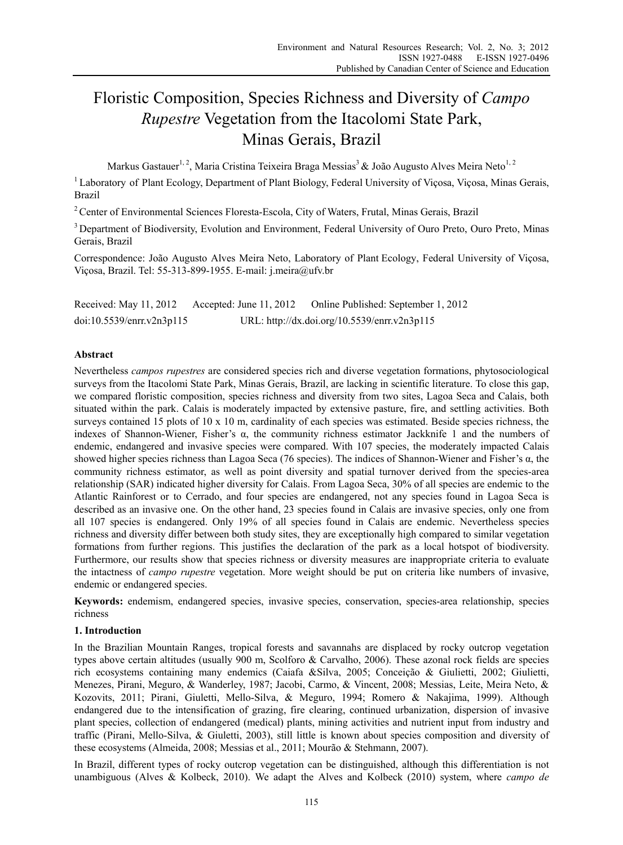# Floristic Composition, Species Richness and Diversity of *Campo Rupestre* Vegetation from the Itacolomi State Park, Minas Gerais, Brazil

Markus Gastauer<sup>1, 2</sup>, Maria Cristina Teixeira Braga Messias<sup>3</sup> & João Augusto Alves Meira Neto<sup>1, 2</sup>

<sup>1</sup> Laboratory of Plant Ecology, Department of Plant Biology, Federal University of Vicosa, Vicosa, Minas Gerais, Brazil

<sup>2</sup> Center of Environmental Sciences Floresta-Escola, City of Waters, Frutal, Minas Gerais, Brazil

<sup>3</sup> Department of Biodiversity, Evolution and Environment, Federal University of Ouro Preto, Ouro Preto, Minas Gerais, Brazil

Correspondence: João Augusto Alves Meira Neto, Laboratory of Plant Ecology, Federal University of Viçosa, Viçosa, Brazil. Tel: 55-313-899-1955. E-mail: j.meira@ufv.br

| Received: May 11, 2012    | Accepted: June 11, 2012 | Online Published: September 1, 2012          |
|---------------------------|-------------------------|----------------------------------------------|
| doi:10.5539/enrr.v2n3p115 |                         | URL: http://dx.doi.org/10.5539/enrr.v2n3p115 |

# **Abstract**

Nevertheless *campos rupestres* are considered species rich and diverse vegetation formations, phytosociological surveys from the Itacolomi State Park, Minas Gerais, Brazil, are lacking in scientific literature. To close this gap, we compared floristic composition, species richness and diversity from two sites, Lagoa Seca and Calais, both situated within the park. Calais is moderately impacted by extensive pasture, fire, and settling activities. Both surveys contained 15 plots of 10 x 10 m, cardinality of each species was estimated. Beside species richness, the indexes of Shannon-Wiener, Fisher's α, the community richness estimator Jackknife 1 and the numbers of endemic, endangered and invasive species were compared. With 107 species, the moderately impacted Calais showed higher species richness than Lagoa Seca (76 species). The indices of Shannon-Wiener and Fisher's α, the community richness estimator, as well as point diversity and spatial turnover derived from the species-area relationship (SAR) indicated higher diversity for Calais. From Lagoa Seca, 30% of all species are endemic to the Atlantic Rainforest or to Cerrado, and four species are endangered, not any species found in Lagoa Seca is described as an invasive one. On the other hand, 23 species found in Calais are invasive species, only one from all 107 species is endangered. Only 19% of all species found in Calais are endemic. Nevertheless species richness and diversity differ between both study sites, they are exceptionally high compared to similar vegetation formations from further regions. This justifies the declaration of the park as a local hotspot of biodiversity. Furthermore, our results show that species richness or diversity measures are inappropriate criteria to evaluate the intactness of *campo rupestre* vegetation. More weight should be put on criteria like numbers of invasive, endemic or endangered species.

**Keywords:** endemism, endangered species, invasive species, conservation, species-area relationship, species richness

# **1. Introduction**

In the Brazilian Mountain Ranges, tropical forests and savannahs are displaced by rocky outcrop vegetation types above certain altitudes (usually 900 m, Scolforo & Carvalho, 2006). These azonal rock fields are species rich ecosystems containing many endemics (Caiafa &Silva, 2005; Conceição & Giulietti, 2002; Giulietti, Menezes, Pirani, Meguro, & Wanderley, 1987; Jacobi, Carmo, & Vincent, 2008; Messias, Leite, Meira Neto, & Kozovits, 2011; Pirani, Giuletti, Mello-Silva, & Meguro, 1994; Romero & Nakajima, 1999). Although endangered due to the intensification of grazing, fire clearing, continued urbanization, dispersion of invasive plant species, collection of endangered (medical) plants, mining activities and nutrient input from industry and traffic (Pirani, Mello-Silva, & Giuletti, 2003), still little is known about species composition and diversity of these ecosystems (Almeida, 2008; Messias et al., 2011; Mourão & Stehmann, 2007).

In Brazil, different types of rocky outcrop vegetation can be distinguished, although this differentiation is not unambiguous (Alves & Kolbeck, 2010). We adapt the Alves and Kolbeck (2010) system, where *campo de*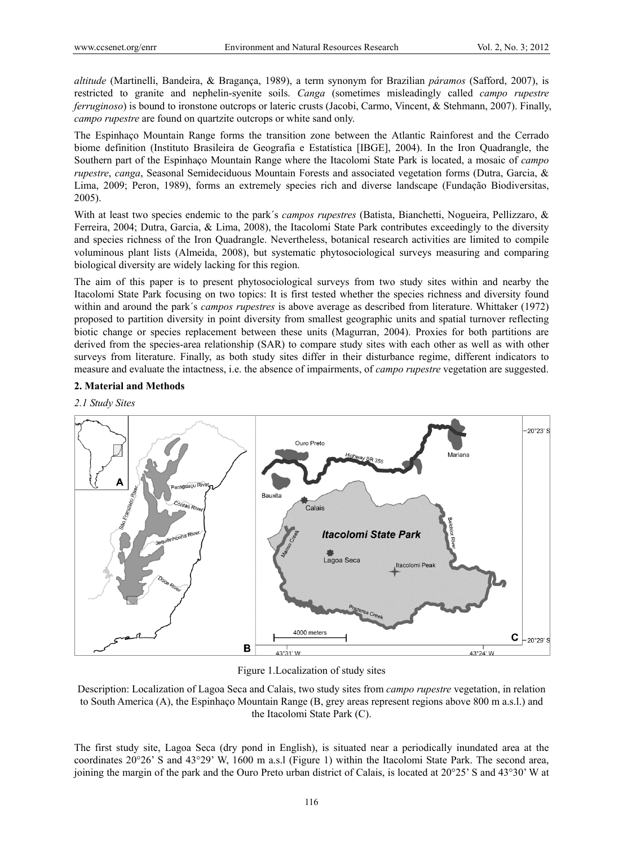*altitude* (Martinelli, Bandeira, & Bragança, 1989), a term synonym for Brazilian *páramos* (Safford, 2007), is restricted to granite and nephelin-syenite soils. *Canga* (sometimes misleadingly called *campo rupestre ferruginoso*) is bound to ironstone outcrops or lateric crusts (Jacobi, Carmo, Vincent, & Stehmann, 2007). Finally, *campo rupestre* are found on quartzite outcrops or white sand only.

The Espinhaço Mountain Range forms the transition zone between the Atlantic Rainforest and the Cerrado biome definition (Instituto Brasileira de Geografia e Estatística [IBGE], 2004). In the Iron Quadrangle, the Southern part of the Espinhaço Mountain Range where the Itacolomi State Park is located, a mosaic of *campo rupestre*, *canga*, Seasonal Semideciduous Mountain Forests and associated vegetation forms (Dutra, Garcia, & Lima, 2009; Peron, 1989), forms an extremely species rich and diverse landscape (Fundação Biodiversitas, 2005).

With at least two species endemic to the park's *campos rupestres* (Batista, Bianchetti, Nogueira, Pellizzaro, & Ferreira, 2004; Dutra, Garcia, & Lima, 2008), the Itacolomi State Park contributes exceedingly to the diversity and species richness of the Iron Quadrangle. Nevertheless, botanical research activities are limited to compile voluminous plant lists (Almeida, 2008), but systematic phytosociological surveys measuring and comparing biological diversity are widely lacking for this region.

The aim of this paper is to present phytosociological surveys from two study sites within and nearby the Itacolomi State Park focusing on two topics: It is first tested whether the species richness and diversity found within and around the park´s *campos rupestres* is above average as described from literature. Whittaker (1972) proposed to partition diversity in point diversity from smallest geographic units and spatial turnover reflecting biotic change or species replacement between these units (Magurran, 2004). Proxies for both partitions are derived from the species-area relationship (SAR) to compare study sites with each other as well as with other surveys from literature. Finally, as both study sites differ in their disturbance regime, different indicators to measure and evaluate the intactness, i.e. the absence of impairments, of *campo rupestre* vegetation are suggested.

## **2. Material and Methods**

*2.1 Study Sites* 



Figure 1.Localization of study sites

Description: Localization of Lagoa Seca and Calais, two study sites from *campo rupestre* vegetation, in relation to South America (A), the Espinhaço Mountain Range (B, grey areas represent regions above 800 m a.s.l.) and the Itacolomi State Park (C).

The first study site, Lagoa Seca (dry pond in English), is situated near a periodically inundated area at the coordinates 20°26' S and 43°29' W, 1600 m a.s.l (Figure 1) within the Itacolomi State Park. The second area, joining the margin of the park and the Ouro Preto urban district of Calais, is located at 20°25' S and 43°30' W at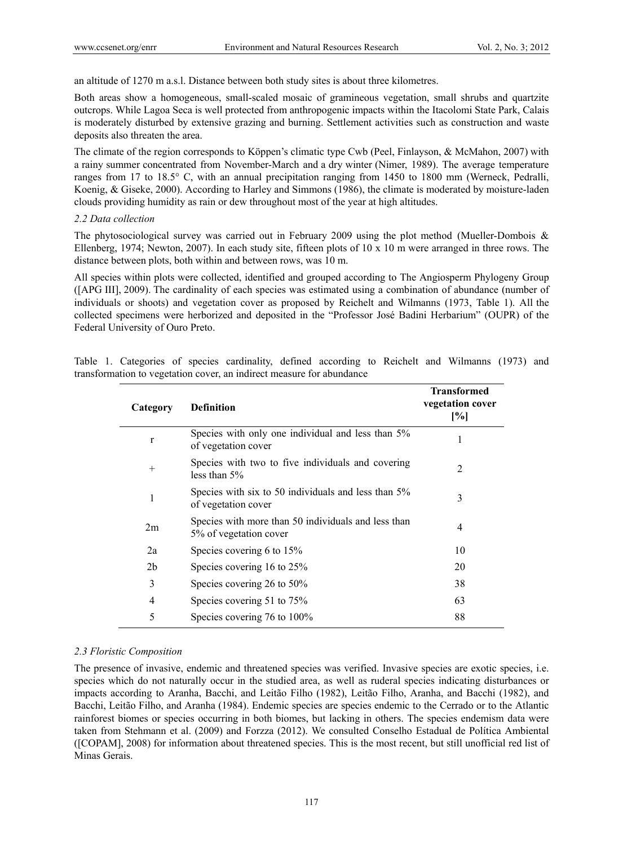an altitude of 1270 m a.s.l. Distance between both study sites is about three kilometres.

Both areas show a homogeneous, small-scaled mosaic of gramineous vegetation, small shrubs and quartzite outcrops. While Lagoa Seca is well protected from anthropogenic impacts within the Itacolomi State Park, Calais is moderately disturbed by extensive grazing and burning. Settlement activities such as construction and waste deposits also threaten the area.

The climate of the region corresponds to Köppen's climatic type Cwb (Peel, Finlayson, & McMahon, 2007) with a rainy summer concentrated from November-March and a dry winter (Nimer, 1989). The average temperature ranges from 17 to 18.5° C, with an annual precipitation ranging from 1450 to 1800 mm (Werneck, Pedralli, Koenig, & Giseke, 2000). According to Harley and Simmons (1986), the climate is moderated by moisture-laden clouds providing humidity as rain or dew throughout most of the year at high altitudes.

#### *2.2 Data collection*

The phytosociological survey was carried out in February 2009 using the plot method (Mueller-Dombois & Ellenberg, 1974; Newton, 2007). In each study site, fifteen plots of 10 x 10 m were arranged in three rows. The distance between plots, both within and between rows, was 10 m.

All species within plots were collected, identified and grouped according to The Angiosperm Phylogeny Group ([APG III], 2009). The cardinality of each species was estimated using a combination of abundance (number of individuals or shoots) and vegetation cover as proposed by Reichelt and Wilmanns (1973, Table 1). All the collected specimens were herborized and deposited in the "Professor José Badini Herbarium" (OUPR) of the Federal University of Ouro Preto.

| Category       | <b>Definition</b>                                                             | <b>Transformed</b><br>vegetation cover<br>[%] |
|----------------|-------------------------------------------------------------------------------|-----------------------------------------------|
| r              | Species with only one individual and less than 5%<br>of vegetation cover      | 1                                             |
| $^{+}$         | Species with two to five individuals and covering<br>less than 5%             | $\overline{2}$                                |
| 1              | Species with six to 50 individuals and less than 5%<br>of vegetation cover    | 3                                             |
| 2m             | Species with more than 50 individuals and less than<br>5% of vegetation cover | 4                                             |
| 2a             | Species covering 6 to 15%                                                     | 10                                            |
| 2 <sub>b</sub> | Species covering 16 to 25%                                                    | 20                                            |
| 3              | Species covering 26 to 50%                                                    | 38                                            |
| 4              | Species covering 51 to 75%                                                    | 63                                            |
| 5              | Species covering 76 to $100\%$                                                | 88                                            |

Table 1. Categories of species cardinality, defined according to Reichelt and Wilmanns (1973) and transformation to vegetation cover, an indirect measure for abundance

#### *2.3 Floristic Composition*

The presence of invasive, endemic and threatened species was verified. Invasive species are exotic species, i.e. species which do not naturally occur in the studied area, as well as ruderal species indicating disturbances or impacts according to Aranha, Bacchi, and Leitão Filho (1982), Leitão Filho, Aranha, and Bacchi (1982), and Bacchi, Leitão Filho, and Aranha (1984). Endemic species are species endemic to the Cerrado or to the Atlantic rainforest biomes or species occurring in both biomes, but lacking in others. The species endemism data were taken from Stehmann et al. (2009) and Forzza (2012). We consulted Conselho Estadual de Política Ambiental ([COPAM], 2008) for information about threatened species. This is the most recent, but still unofficial red list of Minas Gerais.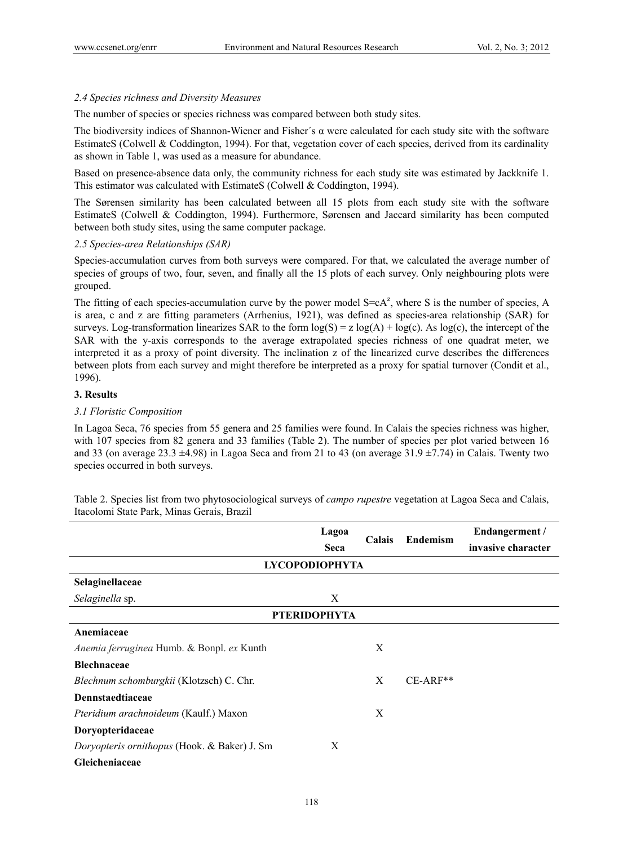# *2.4 Species richness and Diversity Measures*

The number of species or species richness was compared between both study sites.

The biodiversity indices of Shannon-Wiener and Fisher´s α were calculated for each study site with the software EstimateS (Colwell & Coddington, 1994). For that, vegetation cover of each species, derived from its cardinality as shown in Table 1, was used as a measure for abundance.

Based on presence-absence data only, the community richness for each study site was estimated by Jackknife 1. This estimator was calculated with EstimateS (Colwell & Coddington, 1994).

The Sørensen similarity has been calculated between all 15 plots from each study site with the software EstimateS (Colwell & Coddington, 1994). Furthermore, Sørensen and Jaccard similarity has been computed between both study sites, using the same computer package.

## *2.5 Species-area Relationships (SAR)*

Species-accumulation curves from both surveys were compared. For that, we calculated the average number of species of groups of two, four, seven, and finally all the 15 plots of each survey. Only neighbouring plots were grouped.

The fitting of each species-accumulation curve by the power model  $S = cA^z$ , where S is the number of species, A is area, c and z are fitting parameters (Arrhenius, 1921), was defined as species-area relationship (SAR) for surveys. Log-transformation linearizes SAR to the form  $log(S) = z log(A) + log(c)$ . As  $log(c)$ , the intercept of the SAR with the y-axis corresponds to the average extrapolated species richness of one quadrat meter, we interpreted it as a proxy of point diversity. The inclination z of the linearized curve describes the differences between plots from each survey and might therefore be interpreted as a proxy for spatial turnover (Condit et al., 1996).

# **3. Results**

# *3.1 Floristic Composition*

In Lagoa Seca, 76 species from 55 genera and 25 families were found. In Calais the species richness was higher, with 107 species from 82 genera and 33 families (Table 2). The number of species per plot varied between 16 and 33 (on average 23.3  $\pm$ 4.98) in Lagoa Seca and from 21 to 43 (on average 31.9  $\pm$ 7.74) in Calais. Twenty two species occurred in both surveys.

Table 2. Species list from two phytosociological surveys of *campo rupestre* vegetation at Lagoa Seca and Calais, Itacolomi State Park, Minas Gerais, Brazil

|                                              | Lagoa<br>Seca | Calais | <b>Endemism</b> | Endangerment /<br>invasive character |  |  |
|----------------------------------------------|---------------|--------|-----------------|--------------------------------------|--|--|
| <b>LYCOPODIOPHYTA</b>                        |               |        |                 |                                      |  |  |
| Selaginellaceae                              |               |        |                 |                                      |  |  |
| Selaginella sp.                              | X             |        |                 |                                      |  |  |
| <b>PTERIDOPHYTA</b>                          |               |        |                 |                                      |  |  |
| Anemiaceae                                   |               |        |                 |                                      |  |  |
| Anemia ferruginea Humb. & Bonpl. ex Kunth    |               | X      |                 |                                      |  |  |
| <b>Blechnaceae</b>                           |               |        |                 |                                      |  |  |
| Blechnum schomburgkii (Klotzsch) C. Chr.     |               | X      | $CE-ARF**$      |                                      |  |  |
| <b>Dennstaedtiaceae</b>                      |               |        |                 |                                      |  |  |
| <i>Pteridium arachnoideum</i> (Kaulf.) Maxon |               | X      |                 |                                      |  |  |
| Doryopteridaceae                             |               |        |                 |                                      |  |  |
| Doryopteris ornithopus (Hook. & Baker) J. Sm | X             |        |                 |                                      |  |  |
| Gleicheniaceae                               |               |        |                 |                                      |  |  |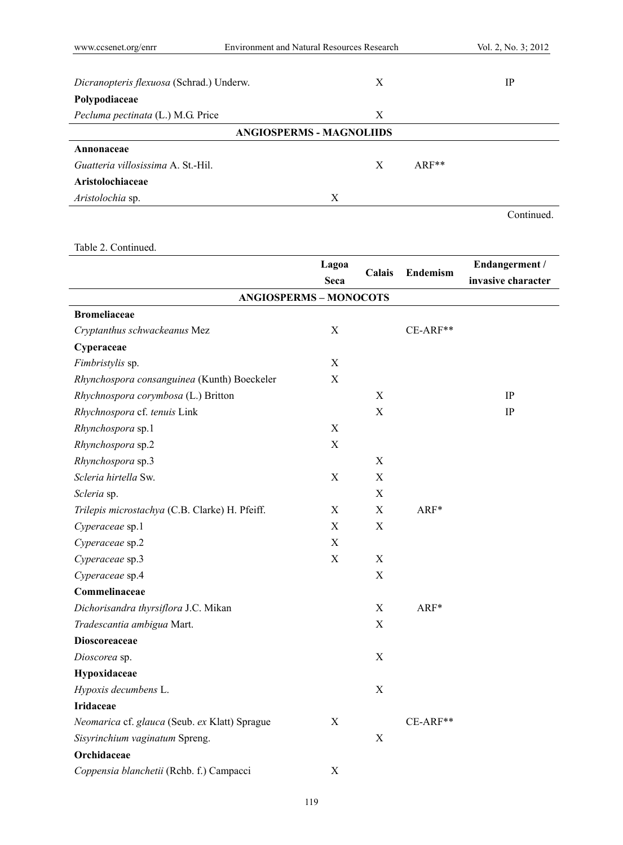| Dicranopteris flexuosa (Schrad.) Underw.  |                          | X |         | IP        |
|-------------------------------------------|--------------------------|---|---------|-----------|
| Polypodiaceae                             |                          |   |         |           |
| Pecluma pectinata (L.) M.G. Price         |                          | X |         |           |
|                                           | ANGIOSPERMS - MAGNOLIIDS |   |         |           |
| Annonaceae                                |                          |   |         |           |
| <i>Guatteria villosissima</i> A. St.-Hil. |                          | X | $ARF**$ |           |
| Aristolochiaceae                          |                          |   |         |           |
| Aristolochia sp.                          | X                        |   |         |           |
|                                           |                          |   |         | Continued |

|                                                | Lagoa                     | Calais                    | Endemism   | Endangerment /     |
|------------------------------------------------|---------------------------|---------------------------|------------|--------------------|
|                                                | Seca                      |                           |            | invasive character |
| <b>ANGIOSPERMS - MONOCOTS</b>                  |                           |                           |            |                    |
| <b>Bromeliaceae</b>                            |                           |                           |            |                    |
| Cryptanthus schwackeanus Mez                   | $\mathbf X$               |                           | CE-ARF**   |                    |
| Cyperaceae                                     |                           |                           |            |                    |
| Fimbristylis sp.                               | $\mathbf X$               |                           |            |                    |
| Rhynchospora consanguinea (Kunth) Boeckeler    | $\mathbf X$               |                           |            |                    |
| Rhychnospora corymbosa (L.) Britton            |                           | $\mathbf X$               |            | $\rm IP$           |
| Rhychnospora cf. tenuis Link                   |                           | Χ                         |            | $\rm IP$           |
| Rhynchospora sp.1                              | $\mathbf X$               |                           |            |                    |
| Rhynchospora sp.2                              | $\mathbf X$               |                           |            |                    |
| Rhynchospora sp.3                              |                           | X                         |            |                    |
| Scleria hirtella Sw.                           | $\mathbf X$               | X                         |            |                    |
| Scleria sp.                                    |                           | $\boldsymbol{\mathrm{X}}$ |            |                    |
| Trilepis microstachya (C.B. Clarke) H. Pfeiff. | $\mathbf X$               | $\mathbf X$               | ARF*       |                    |
| Cyperaceae sp.1                                | $\mathbf X$               | $\mathbf X$               |            |                    |
| Cyperaceae sp.2                                | $\boldsymbol{\mathrm{X}}$ |                           |            |                    |
| Cyperaceae sp.3                                | $\mathbf X$               | $\mathbf X$               |            |                    |
| Cyperaceae sp.4                                |                           | $\boldsymbol{\mathrm{X}}$ |            |                    |
| Commelinaceae                                  |                           |                           |            |                    |
| Dichorisandra thyrsiflora J.C. Mikan           |                           | X                         | ARF*       |                    |
| Tradescantia ambigua Mart.                     |                           | $\mathbf X$               |            |                    |
| <b>Dioscoreaceae</b>                           |                           |                           |            |                    |
| Dioscorea sp.                                  |                           | $\boldsymbol{\mathrm{X}}$ |            |                    |
| Hypoxidaceae                                   |                           |                           |            |                    |
| Hypoxis decumbens L.                           |                           | $\mathbf X$               |            |                    |
| <b>Iridaceae</b>                               |                           |                           |            |                    |
| Neomarica cf. glauca (Seub. ex Klatt) Sprague  | $\mathbf X$               |                           | $CE-ARF**$ |                    |
| Sisyrinchium vaginatum Spreng.                 |                           | $\mathbf X$               |            |                    |
| Orchidaceae                                    |                           |                           |            |                    |
| Coppensia blanchetii (Rchb. f.) Campacci       | $\mathbf X$               |                           |            |                    |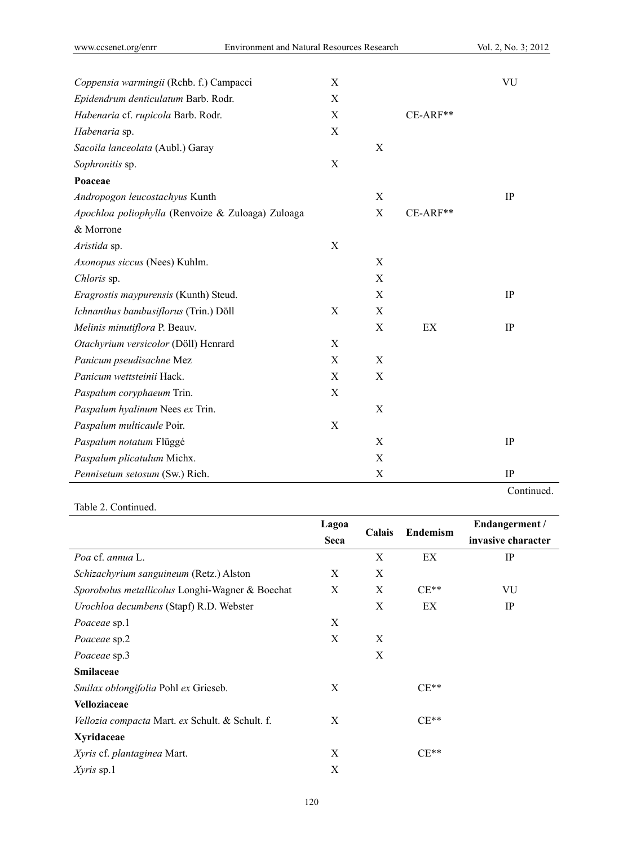| Coppensia warmingii (Rchb. f.) Campacci           | X           |             |          | VU         |
|---------------------------------------------------|-------------|-------------|----------|------------|
| Epidendrum denticulatum Barb. Rodr.               | X           |             |          |            |
| Habenaria cf. rupicola Barb. Rodr.                | X           |             | CE-ARF** |            |
| Habenaria sp.                                     | X           |             |          |            |
| Sacoila lanceolata (Aubl.) Garay                  |             | X           |          |            |
| Sophronitis sp.                                   | $\mathbf X$ |             |          |            |
| Poaceae                                           |             |             |          |            |
| Andropogon leucostachyus Kunth                    |             | $\mathbf X$ |          | $\rm IP$   |
| Apochloa poliophylla (Renvoize & Zuloaga) Zuloaga |             | $\mathbf X$ | CE-ARF** |            |
| & Morrone                                         |             |             |          |            |
| Aristida sp.                                      | X           |             |          |            |
| Axonopus siccus (Nees) Kuhlm.                     |             | X           |          |            |
| Chloris sp.                                       |             | $\mathbf X$ |          |            |
| Eragrostis maypurensis (Kunth) Steud.             |             | X           |          | IP         |
| Ichnanthus bambusiflorus (Trin.) Döll             | X           | X           |          |            |
| Melinis minutiflora P. Beauv.                     |             | X           | EX       | IP         |
| Otachyrium versicolor (Döll) Henrard              | X           |             |          |            |
| Panicum pseudisachne Mez                          | X           | X           |          |            |
| Panicum wettsteinii Hack.                         | X           | X           |          |            |
| Paspalum coryphaeum Trin.                         | X           |             |          |            |
| Paspalum hyalinum Nees ex Trin.                   |             | X           |          |            |
| Paspalum multicaule Poir.                         | X           |             |          |            |
| Paspalum notatum Flüggé                           |             | X           |          | IP         |
| Paspalum plicatulum Michx.                        |             | X           |          |            |
| Pennisetum setosum (Sw.) Rich.                    |             | $\mathbf X$ |          | $\rm IP$   |
|                                                   |             |             |          | Continued. |

|                                                 | Lagoa<br>Calais<br>Seca |   | <b>Endemism</b> | Endangerment /     |
|-------------------------------------------------|-------------------------|---|-----------------|--------------------|
|                                                 |                         |   |                 | invasive character |
| Poa cf. annua L.                                |                         | X | EX              | IP                 |
| Schizachyrium sanguineum (Retz.) Alston         | X                       | X |                 |                    |
| Sporobolus metallicolus Longhi-Wagner & Boechat | X                       | X | $CE**$          | VU                 |
| Urochloa decumbens (Stapf) R.D. Webster         |                         | X | EХ              | IP                 |
| Poaceae sp.1                                    | X                       |   |                 |                    |
| Poaceae sp.2                                    | X                       | X |                 |                    |
| Poaceae sp.3                                    |                         | X |                 |                    |
| Smilaceae                                       |                         |   |                 |                    |
| Smilax oblongifolia Pohl ex Grieseb.            | X                       |   | $CE**$          |                    |
| Velloziaceae                                    |                         |   |                 |                    |
| Vellozia compacta Mart. ex Schult. & Schult. f. | X                       |   | $CE**$          |                    |
| Xyridaceae                                      |                         |   |                 |                    |
| Xyris cf. plantaginea Mart.                     | X                       |   | $CE**$          |                    |
| $Xyris$ sp.1                                    | X                       |   |                 |                    |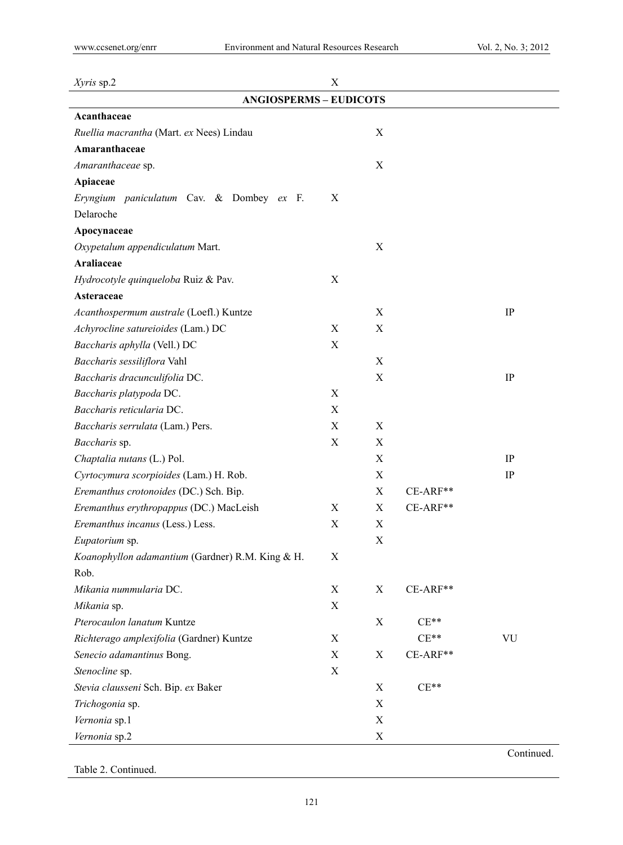| Xyris sp.2                                       | X |                           |          |            |
|--------------------------------------------------|---|---------------------------|----------|------------|
| <b>ANGIOSPERMS - EUDICOTS</b>                    |   |                           |          |            |
| Acanthaceae                                      |   |                           |          |            |
| Ruellia macrantha (Mart. ex Nees) Lindau         |   | X                         |          |            |
| Amaranthaceae                                    |   |                           |          |            |
| Amaranthaceae sp.                                |   | X                         |          |            |
| Apiaceae                                         |   |                           |          |            |
| Eryngium paniculatum Cav. & Dombey ex F.         | X |                           |          |            |
| Delaroche                                        |   |                           |          |            |
| Apocynaceae                                      |   |                           |          |            |
| Oxypetalum appendiculatum Mart.                  |   | X                         |          |            |
| Araliaceae                                       |   |                           |          |            |
| Hydrocotyle quinqueloba Ruiz & Pav.              | X |                           |          |            |
| Asteraceae                                       |   |                           |          |            |
| Acanthospermum australe (Loefl.) Kuntze          |   | X                         |          | IP         |
| Achyrocline satureioides (Lam.) DC               | X | X                         |          |            |
| Baccharis aphylla (Vell.) DC                     | X |                           |          |            |
| Baccharis sessiliflora Vahl                      |   | X                         |          |            |
| Baccharis dracunculifolia DC.                    |   | X                         |          | IP         |
| Baccharis platypoda DC.                          | X |                           |          |            |
| Baccharis reticularia DC.                        | X |                           |          |            |
| Baccharis serrulata (Lam.) Pers.                 | X | X                         |          |            |
| Baccharis sp.                                    | X | X                         |          |            |
| Chaptalia nutans (L.) Pol.                       |   | X                         |          | IP         |
| Cyrtocymura scorpioides (Lam.) H. Rob.           |   | $\mathbf X$               |          | IP         |
| Eremanthus crotonoides (DC.) Sch. Bip.           |   | X                         | CE-ARF** |            |
| Eremanthus erythropappus (DC.) MacLeish          | X | X                         | CE-ARF** |            |
| Eremanthus incanus (Less.) Less.                 | X | X                         |          |            |
| <i>Eupatorium</i> sp.                            |   | Χ                         |          |            |
| Koanophyllon adamantium (Gardner) R.M. King & H. | X |                           |          |            |
| Rob.                                             |   |                           |          |            |
| Mikania nummularia DC.                           | X | X                         | CE-ARF** |            |
| Mikania sp.                                      | X |                           |          |            |
| Pterocaulon lanatum Kuntze                       |   | X                         | $CE**$   |            |
| Richterago amplexifolia (Gardner) Kuntze         | X |                           | $CE**$   | VU         |
| Senecio adamantinus Bong.                        | X | X                         | CE-ARF** |            |
| Stenocline sp.                                   | X |                           |          |            |
| Stevia clausseni Sch. Bip. ex Baker              |   | X                         | $CE**$   |            |
| Trichogonia sp.                                  |   | X                         |          |            |
| Vernonia sp.1                                    |   | $\mathbf X$               |          |            |
| Vernonia sp.2                                    |   | $\boldsymbol{\mathrm{X}}$ |          |            |
|                                                  |   |                           |          | Continued. |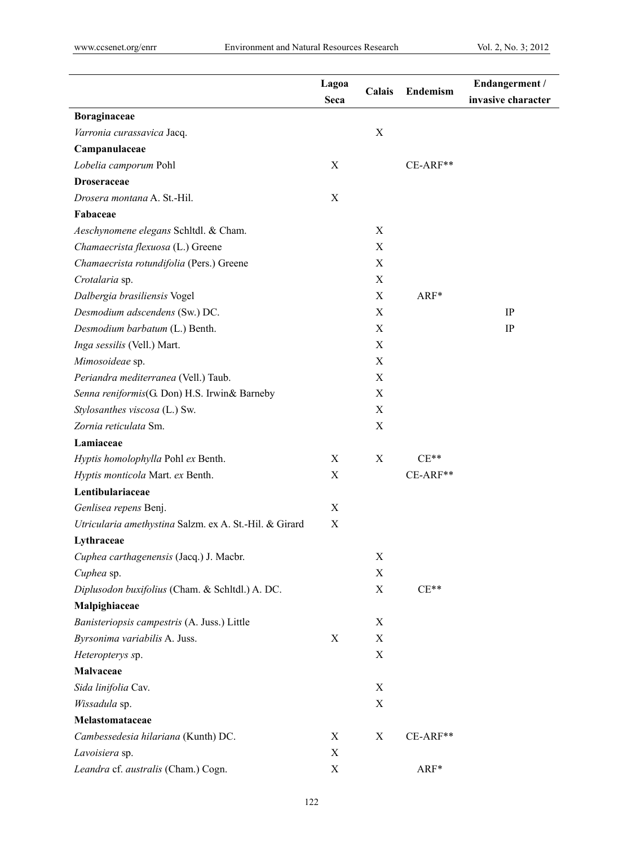|                                                        | Lagoa<br>Seca | Calais      | Endemism | Endangerment /<br>invasive character |
|--------------------------------------------------------|---------------|-------------|----------|--------------------------------------|
| Boraginaceae                                           |               |             |          |                                      |
| Varronia curassavica Jacq.                             |               | X           |          |                                      |
| Campanulaceae                                          |               |             |          |                                      |
| Lobelia camporum Pohl                                  | $\mathbf X$   |             | CE-ARF** |                                      |
| <b>Droseraceae</b>                                     |               |             |          |                                      |
| Drosera montana A. St.-Hil.                            | X             |             |          |                                      |
| Fabaceae                                               |               |             |          |                                      |
| Aeschynomene elegans Schltdl. & Cham.                  |               | X           |          |                                      |
| Chamaecrista flexuosa (L.) Greene                      |               | X           |          |                                      |
| Chamaecrista rotundifolia (Pers.) Greene               |               | X           |          |                                      |
| Crotalaria sp.                                         |               | X           |          |                                      |
| Dalbergia brasiliensis Vogel                           |               | X           | ARF*     |                                      |
| Desmodium adscendens (Sw.) DC.                         |               | X           |          | IP                                   |
| Desmodium barbatum (L.) Benth.                         |               | X           |          | $\rm IP$                             |
| Inga sessilis (Vell.) Mart.                            |               | X           |          |                                      |
| Mimosoideae sp.                                        |               | X           |          |                                      |
| Periandra mediterranea (Vell.) Taub.                   |               | X           |          |                                      |
| Senna reniformis(G. Don) H.S. Irwin& Barneby           |               | X           |          |                                      |
| Stylosanthes viscosa (L.) Sw.                          |               | X           |          |                                      |
| Zornia reticulata Sm.                                  |               | X           |          |                                      |
| Lamiaceae                                              |               |             |          |                                      |
| Hyptis homolophylla Pohl ex Benth.                     | X             | $\mathbf X$ | $CE**$   |                                      |
| Hyptis monticola Mart. ex Benth.                       | X             |             | CE-ARF** |                                      |
| Lentibulariaceae                                       |               |             |          |                                      |
| Genlisea repens Benj.                                  | X             |             |          |                                      |
| Utricularia amethystina Salzm. ex A. St.-Hil. & Girard | X             |             |          |                                      |
| Lythraceae                                             |               |             |          |                                      |
| Cuphea carthagenensis (Jacq.) J. Macbr.                |               | X           |          |                                      |
| Cuphea sp.                                             |               | X           |          |                                      |
| Diplusodon buxifolius (Cham. & Schltdl.) A. DC.        |               | X           | $CE**$   |                                      |
| Malpighiaceae                                          |               |             |          |                                      |
| Banisteriopsis campestris (A. Juss.) Little            |               | X           |          |                                      |
| Byrsonima variabilis A. Juss.                          | X             | X           |          |                                      |
| Heteropterys sp.                                       |               | X           |          |                                      |
| Malvaceae                                              |               |             |          |                                      |
| Sida linifolia Cav.                                    |               | X           |          |                                      |
| Wissadula sp.                                          |               | X           |          |                                      |
| Melastomataceae                                        |               |             |          |                                      |
| Cambessedesia hilariana (Kunth) DC.                    | X             | X           | CE-ARF** |                                      |
| Lavoisiera sp.                                         | X             |             |          |                                      |
| Leandra cf. australis (Cham.) Cogn.                    | X             |             | ARF*     |                                      |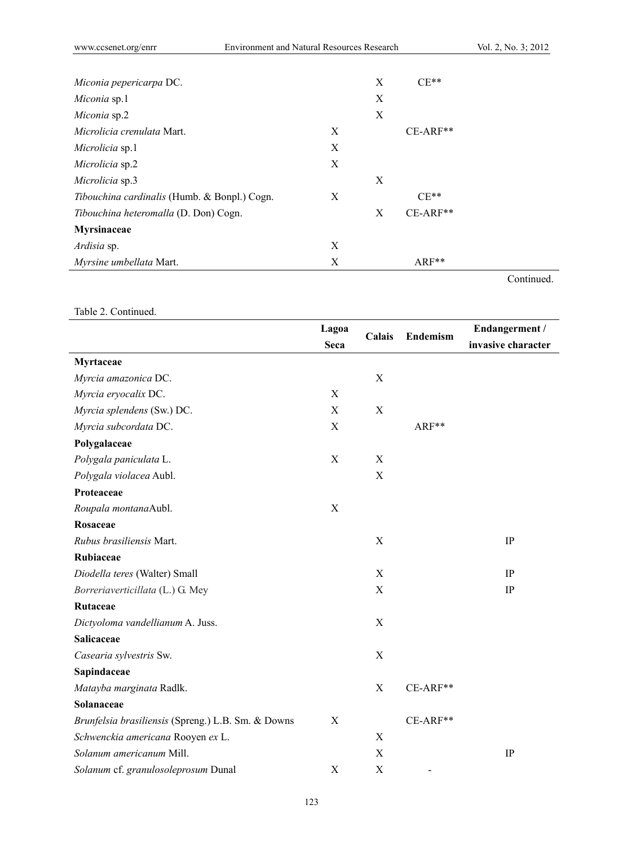| Miconia pepericarpa DC.                      |   | X | $CE**$     |            |
|----------------------------------------------|---|---|------------|------------|
| Miconia sp.1                                 |   | X |            |            |
| Miconia sp.2                                 |   | X |            |            |
| Microlicia crenulata Mart.                   | X |   | $CE-ARF**$ |            |
| Microlicia sp.1                              | X |   |            |            |
| Microlicia sp.2                              | X |   |            |            |
| Microlicia sp.3                              |   | X |            |            |
| Tibouchina cardinalis (Humb. & Bonpl.) Cogn. | X |   | $CE**$     |            |
| Tibouchina heteromalla (D. Don) Cogn.        |   | X | CE-ARF**   |            |
| Myrsinaceae                                  |   |   |            |            |
| Ardisia sp.                                  | X |   |            |            |
| <i>Myrsine umbellata</i> Mart.               | X |   | ARF**      |            |
|                                              |   |   |            | Continued. |

|                                                    | Lagoa       | Calais      | <b>Endemism</b> | Endangerment /     |
|----------------------------------------------------|-------------|-------------|-----------------|--------------------|
|                                                    | Seca        |             |                 | invasive character |
| Myrtaceae                                          |             |             |                 |                    |
| Myrcia amazonica DC.                               |             | $\mathbf X$ |                 |                    |
| Myrcia eryocalix DC.                               | $\mathbf X$ |             |                 |                    |
| Myrcia splendens (Sw.) DC.                         | $\mathbf X$ | X           |                 |                    |
| Myrcia subcordata DC.                              | $\mathbf X$ |             | ARF**           |                    |
| Polygalaceae                                       |             |             |                 |                    |
| Polygala paniculata L.                             | $\mathbf X$ | X           |                 |                    |
| Polygala violacea Aubl.                            |             | $\mathbf X$ |                 |                    |
| Proteaceae                                         |             |             |                 |                    |
| Roupala montanaAubl.                               | $\mathbf X$ |             |                 |                    |
| Rosaceae                                           |             |             |                 |                    |
| Rubus brasiliensis Mart.                           |             | $\mathbf X$ |                 | IP                 |
| Rubiaceae                                          |             |             |                 |                    |
| Diodella teres (Walter) Small                      |             | $\mathbf X$ |                 | $\rm IP$           |
| Borreriaverticillata (L.) G. Mey                   |             | X           |                 | IP                 |
| Rutaceae                                           |             |             |                 |                    |
| Dictyoloma vandellianum A. Juss.                   |             | $\mathbf X$ |                 |                    |
| Salicaceae                                         |             |             |                 |                    |
| Casearia sylvestris Sw.                            |             | X           |                 |                    |
| Sapindaceae                                        |             |             |                 |                    |
| Matayba marginata Radlk.                           |             | $\mathbf X$ | CE-ARF**        |                    |
| Solanaceae                                         |             |             |                 |                    |
| Brunfelsia brasiliensis (Spreng.) L.B. Sm. & Downs | $\mathbf X$ |             | CE-ARF**        |                    |
| Schwenckia americana Rooyen ex L.                  |             | $\mathbf X$ |                 |                    |
| Solanum americanum Mill.                           |             | X           |                 | $_{\rm IP}$        |
| Solanum cf. granulosoleprosum Dunal                | X           | X           |                 |                    |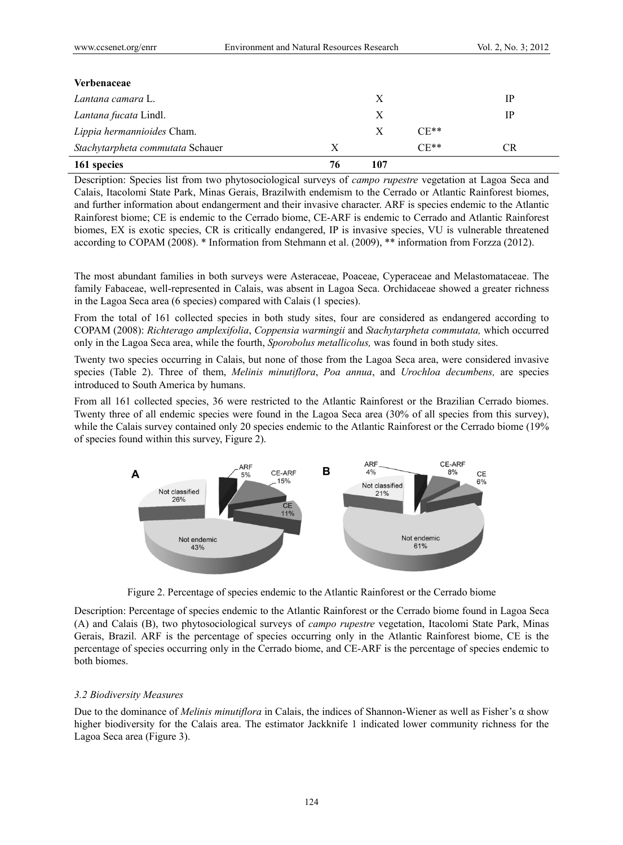| Verbenaceae                      |    |     |        |     |
|----------------------------------|----|-----|--------|-----|
| Lantana camara L.                |    | X   |        | IP  |
| Lantana fucata Lindl.            |    | X   |        | IP  |
| Lippia hermannioides Cham.       |    | X   | $CE**$ |     |
| Stachytarpheta commutata Schauer | X  |     | $CE**$ | CR. |
| 161 species                      | 76 | 107 |        |     |

Description: Species list from two phytosociological surveys of *campo rupestre* vegetation at Lagoa Seca and Calais, Itacolomi State Park, Minas Gerais, Brazilwith endemism to the Cerrado or Atlantic Rainforest biomes, and further information about endangerment and their invasive character. ARF is species endemic to the Atlantic Rainforest biome; CE is endemic to the Cerrado biome, CE-ARF is endemic to Cerrado and Atlantic Rainforest biomes, EX is exotic species, CR is critically endangered, IP is invasive species, VU is vulnerable threatened according to COPAM (2008). \* Information from Stehmann et al. (2009), \*\* information from Forzza (2012).

The most abundant families in both surveys were Asteraceae, Poaceae, Cyperaceae and Melastomataceae. The family Fabaceae, well-represented in Calais, was absent in Lagoa Seca. Orchidaceae showed a greater richness in the Lagoa Seca area (6 species) compared with Calais (1 species).

From the total of 161 collected species in both study sites, four are considered as endangered according to COPAM (2008): *Richterago amplexifolia*, *Coppensia warmingii* and *Stachytarpheta commutata,* which occurred only in the Lagoa Seca area, while the fourth, *Sporobolus metallicolus,* was found in both study sites.

Twenty two species occurring in Calais, but none of those from the Lagoa Seca area, were considered invasive species (Table 2). Three of them, *Melinis minutiflora*, *Poa annua*, and *Urochloa decumbens,* are species introduced to South America by humans.

From all 161 collected species, 36 were restricted to the Atlantic Rainforest or the Brazilian Cerrado biomes. Twenty three of all endemic species were found in the Lagoa Seca area (30% of all species from this survey), while the Calais survey contained only 20 species endemic to the Atlantic Rainforest or the Cerrado biome (19%) of species found within this survey, Figure 2).



Figure 2. Percentage of species endemic to the Atlantic Rainforest or the Cerrado biome

Description: Percentage of species endemic to the Atlantic Rainforest or the Cerrado biome found in Lagoa Seca (A) and Calais (B), two phytosociological surveys of *campo rupestre* vegetation, Itacolomi State Park, Minas Gerais, Brazil. ARF is the percentage of species occurring only in the Atlantic Rainforest biome, CE is the percentage of species occurring only in the Cerrado biome, and CE-ARF is the percentage of species endemic to both biomes.

# *3.2 Biodiversity Measures*

Due to the dominance of *Melinis minutiflora* in Calais, the indices of Shannon-Wiener as well as Fisher's α show higher biodiversity for the Calais area. The estimator Jackknife 1 indicated lower community richness for the Lagoa Seca area (Figure 3).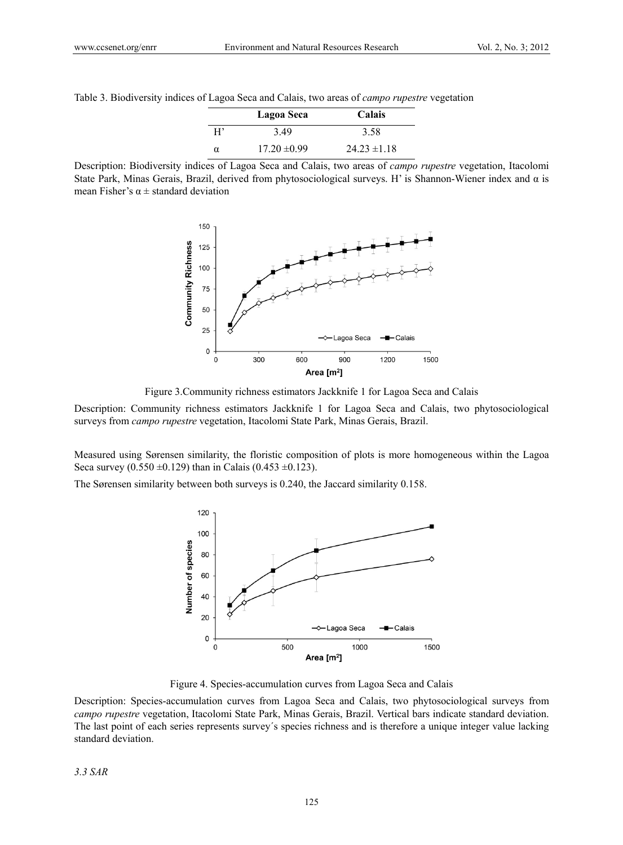|    | Lagoa Seca       | Calais           |
|----|------------------|------------------|
| H, | 3.49             | 3.58             |
| α  | $17.20 \pm 0.99$ | $24.23 \pm 1.18$ |

Description: Biodiversity indices of Lagoa Seca and Calais, two areas of *campo rupestre* vegetation, Itacolomi State Park, Minas Gerais, Brazil, derived from phytosociological surveys. H' is Shannon-Wiener index and  $\alpha$  is mean Fisher's  $\alpha \pm$  standard deviation



Figure 3.Community richness estimators Jackknife 1 for Lagoa Seca and Calais

Description: Community richness estimators Jackknife 1 for Lagoa Seca and Calais, two phytosociological surveys from *campo rupestre* vegetation, Itacolomi State Park, Minas Gerais, Brazil.

Measured using Sørensen similarity, the floristic composition of plots is more homogeneous within the Lagoa Seca survey  $(0.550 \pm 0.129)$  than in Calais  $(0.453 \pm 0.123)$ .

The Sørensen similarity between both surveys is 0.240, the Jaccard similarity 0.158.



Figure 4. Species-accumulation curves from Lagoa Seca and Calais

Description: Species-accumulation curves from Lagoa Seca and Calais, two phytosociological surveys from *campo rupestre* vegetation, Itacolomi State Park, Minas Gerais, Brazil. Vertical bars indicate standard deviation. The last point of each series represents survey´s species richness and is therefore a unique integer value lacking standard deviation.

*3.3 SAR*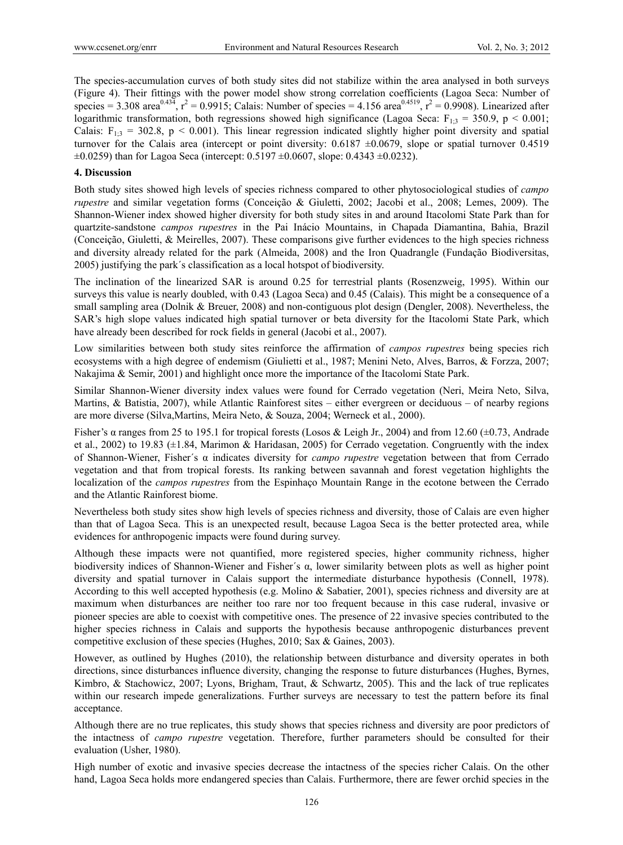The species-accumulation curves of both study sites did not stabilize within the area analysed in both surveys (Figure 4). Their fittings with the power model show strong correlation coefficients (Lagoa Seca: Number of species = 3.308 area<sup>0.434</sup>,  $r^2 = 0.9915$ ; Calais: Number of species = 4.156 area<sup>0.4519</sup>,  $r^2 = 0.9908$ ). Linearized after logarithmic transformation, both regressions showed high significance (Lagoa Seca:  $F_{1;3} = 350.9$ , p < 0.001; Calais:  $F_{1;3} = 302.8$ ,  $p < 0.001$ ). This linear regression indicated slightly higher point diversity and spatial turnover for the Calais area (intercept or point diversity: 0.6187 ±0.0679, slope or spatial turnover 0.4519  $\pm 0.0259$ ) than for Lagoa Seca (intercept: 0.5197  $\pm 0.0607$ , slope: 0.4343  $\pm 0.0232$ ).

## **4. Discussion**

Both study sites showed high levels of species richness compared to other phytosociological studies of *campo rupestre* and similar vegetation forms (Conceição & Giuletti, 2002; Jacobi et al., 2008; Lemes, 2009). The Shannon-Wiener index showed higher diversity for both study sites in and around Itacolomi State Park than for quartzite-sandstone *campos rupestres* in the Pai Inácio Mountains, in Chapada Diamantina, Bahia, Brazil (Conceição, Giuletti, & Meirelles, 2007). These comparisons give further evidences to the high species richness and diversity already related for the park (Almeida, 2008) and the Iron Quadrangle (Fundação Biodiversitas, 2005) justifying the park´s classification as a local hotspot of biodiversity.

The inclination of the linearized SAR is around 0.25 for terrestrial plants (Rosenzweig, 1995). Within our surveys this value is nearly doubled, with 0.43 (Lagoa Seca) and 0.45 (Calais). This might be a consequence of a small sampling area (Dolnik & Breuer, 2008) and non-contiguous plot design (Dengler, 2008). Nevertheless, the SAR's high slope values indicated high spatial turnover or beta diversity for the Itacolomi State Park, which have already been described for rock fields in general (Jacobi et al., 2007).

Low similarities between both study sites reinforce the affirmation of *campos rupestres* being species rich ecosystems with a high degree of endemism (Giulietti et al., 1987; Menini Neto, Alves, Barros, & Forzza, 2007; Nakajima & Semir, 2001) and highlight once more the importance of the Itacolomi State Park.

Similar Shannon-Wiener diversity index values were found for Cerrado vegetation (Neri, Meira Neto, Silva, Martins, & Batistia, 2007), while Atlantic Rainforest sites – either evergreen or deciduous – of nearby regions are more diverse (Silva,Martins, Meira Neto, & Souza, 2004; Werneck et al*.*, 2000).

Fisher's α ranges from 25 to 195.1 for tropical forests (Losos & Leigh Jr., 2004) and from 12.60 (±0.73, Andrade et al., 2002) to 19.83 (±1.84, Marimon & Haridasan, 2005) for Cerrado vegetation. Congruently with the index of Shannon-Wiener, Fisher´s α indicates diversity for *campo rupestre* vegetation between that from Cerrado vegetation and that from tropical forests. Its ranking between savannah and forest vegetation highlights the localization of the *campos rupestres* from the Espinhaço Mountain Range in the ecotone between the Cerrado and the Atlantic Rainforest biome.

Nevertheless both study sites show high levels of species richness and diversity, those of Calais are even higher than that of Lagoa Seca. This is an unexpected result, because Lagoa Seca is the better protected area, while evidences for anthropogenic impacts were found during survey.

Although these impacts were not quantified, more registered species, higher community richness, higher biodiversity indices of Shannon-Wiener and Fisher´s α, lower similarity between plots as well as higher point diversity and spatial turnover in Calais support the intermediate disturbance hypothesis (Connell, 1978). According to this well accepted hypothesis (e.g. Molino & Sabatier, 2001), species richness and diversity are at maximum when disturbances are neither too rare nor too frequent because in this case ruderal, invasive or pioneer species are able to coexist with competitive ones. The presence of 22 invasive species contributed to the higher species richness in Calais and supports the hypothesis because anthropogenic disturbances prevent competitive exclusion of these species (Hughes, 2010; Sax & Gaines, 2003).

However, as outlined by Hughes (2010), the relationship between disturbance and diversity operates in both directions, since disturbances influence diversity, changing the response to future disturbances (Hughes, Byrnes, Kimbro, & Stachowicz, 2007; Lyons, Brigham, Traut, & Schwartz, 2005). This and the lack of true replicates within our research impede generalizations. Further surveys are necessary to test the pattern before its final acceptance.

Although there are no true replicates, this study shows that species richness and diversity are poor predictors of the intactness of *campo rupestre* vegetation. Therefore, further parameters should be consulted for their evaluation (Usher, 1980).

High number of exotic and invasive species decrease the intactness of the species richer Calais. On the other hand, Lagoa Seca holds more endangered species than Calais. Furthermore, there are fewer orchid species in the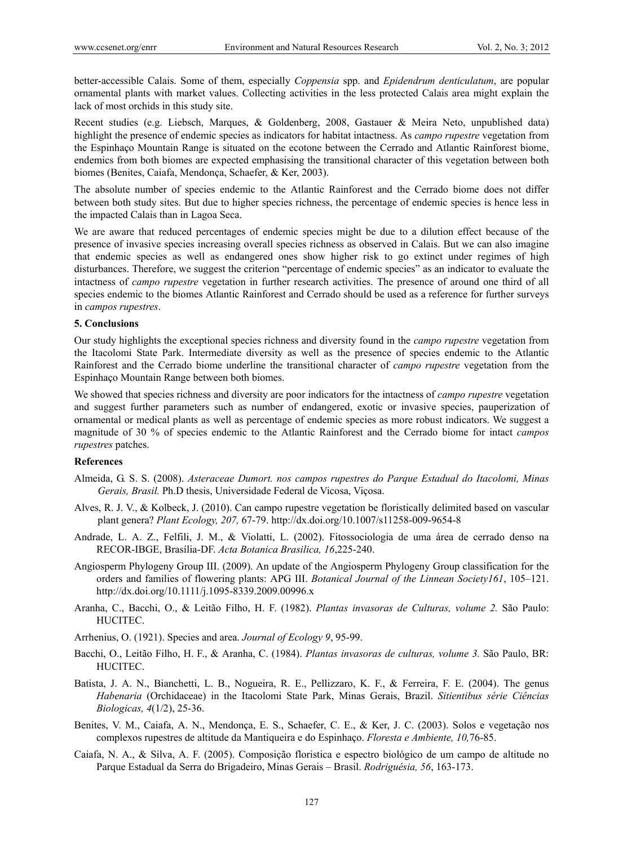better-accessible Calais. Some of them, especially *Coppensia* spp. and *Epidendrum denticulatum*, are popular ornamental plants with market values. Collecting activities in the less protected Calais area might explain the lack of most orchids in this study site.

Recent studies (e.g. Liebsch, Marques, & Goldenberg, 2008, Gastauer & Meira Neto, unpublished data) highlight the presence of endemic species as indicators for habitat intactness. As *campo rupestre* vegetation from the Espinhaço Mountain Range is situated on the ecotone between the Cerrado and Atlantic Rainforest biome, endemics from both biomes are expected emphasising the transitional character of this vegetation between both biomes (Benites, Caiafa, Mendonça, Schaefer, & Ker, 2003).

The absolute number of species endemic to the Atlantic Rainforest and the Cerrado biome does not differ between both study sites. But due to higher species richness, the percentage of endemic species is hence less in the impacted Calais than in Lagoa Seca.

We are aware that reduced percentages of endemic species might be due to a dilution effect because of the presence of invasive species increasing overall species richness as observed in Calais. But we can also imagine that endemic species as well as endangered ones show higher risk to go extinct under regimes of high disturbances. Therefore, we suggest the criterion "percentage of endemic species" as an indicator to evaluate the intactness of *campo rupestre* vegetation in further research activities. The presence of around one third of all species endemic to the biomes Atlantic Rainforest and Cerrado should be used as a reference for further surveys in *campos rupestres*.

## **5. Conclusions**

Our study highlights the exceptional species richness and diversity found in the *campo rupestre* vegetation from the Itacolomi State Park. Intermediate diversity as well as the presence of species endemic to the Atlantic Rainforest and the Cerrado biome underline the transitional character of *campo rupestre* vegetation from the Espinhaço Mountain Range between both biomes.

We showed that species richness and diversity are poor indicators for the intactness of *campo rupestre* vegetation and suggest further parameters such as number of endangered, exotic or invasive species, pauperization of ornamental or medical plants as well as percentage of endemic species as more robust indicators. We suggest a magnitude of 30 % of species endemic to the Atlantic Rainforest and the Cerrado biome for intact *campos rupestres* patches.

## **References**

- Almeida, G. S. S. (2008). *Asteraceae Dumort. nos campos rupestres do Parque Estadual do Itacolomi, Minas Gerais, Brasil.* Ph.D thesis, Universidade Federal de Vicosa, Viçosa.
- Alves, R. J. V., & Kolbeck, J. (2010). Can campo rupestre vegetation be floristically delimited based on vascular plant genera? *Plant Ecology, 207,* 67-79. http://dx.doi.org/10.1007/s11258-009-9654-8
- Andrade, L. A. Z., Felfili, J. M., & Violatti, L. (2002). Fitossociologia de uma área de cerrado denso na RECOR-IBGE, Brasília-DF. *Acta Botanica Brasilica, 16*,225-240.
- Angiosperm Phylogeny Group III. (2009). An update of the Angiosperm Phylogeny Group classification for the orders and families of flowering plants: APG III. *Botanical Journal of the Linnean Society161*, 105–121. http://dx.doi.org/10.1111/j.1095-8339.2009.00996.x
- Aranha, C., Bacchi, O., & Leitão Filho, H. F. (1982). *Plantas invasoras de Culturas, volume 2.* São Paulo: HUCITEC.
- Arrhenius, O. (1921). Species and area. *Journal of Ecology 9*, 95-99.
- Bacchi, O., Leitão Filho, H. F., & Aranha, C. (1984). *Plantas invasoras de culturas, volume 3.* São Paulo, BR: HUCITEC.
- Batista, J. A. N., Bianchetti, L. B., Nogueira, R. E., Pellizzaro, K. F., & Ferreira, F. E. (2004). The genus *Habenaria* (Orchidaceae) in the Itacolomi State Park, Minas Gerais, Brazil. *Sitientibus série Ciências Biologicas, 4*(1/2), 25-36.
- Benites, V. M., Caiafa, A. N., Mendonça, E. S., Schaefer, C. E., & Ker, J. C. (2003). Solos e vegetação nos complexos rupestres de altitude da Mantiqueira e do Espinhaço. *Floresta e Ambiente, 10,*76-85.
- Caiafa, N. A., & Silva, A. F. (2005). Composição floristica e espectro biológico de um campo de altitude no Parque Estadual da Serra do Brigadeiro, Minas Gerais – Brasil. *Rodriguésia, 56*, 163-173.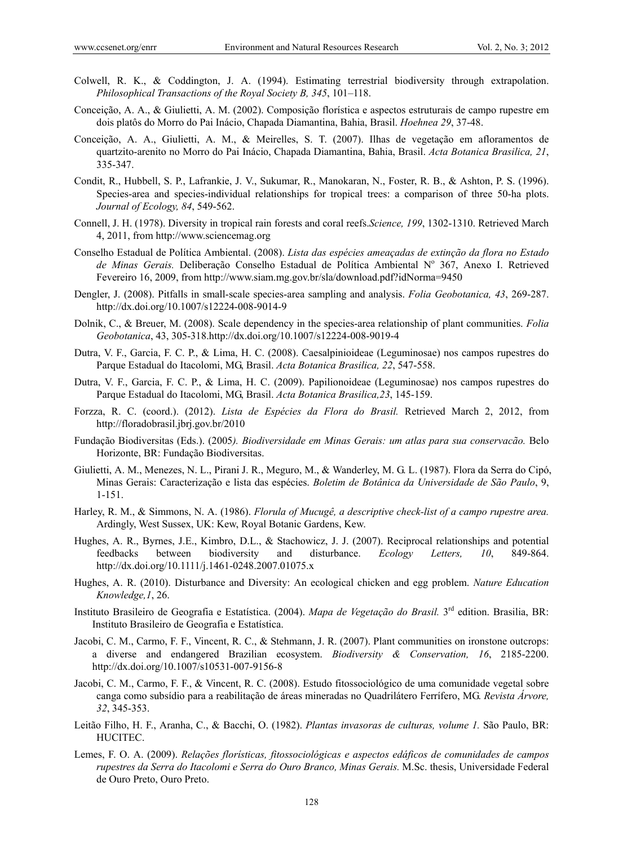- Colwell, R. K., & Coddington, J. A. (1994). Estimating terrestrial biodiversity through extrapolation. *Philosophical Transactions of the Royal Society B, 345*, 101–118.
- Conceição, A. A., & Giulietti, A. M. (2002). Composição florística e aspectos estruturais de campo rupestre em dois platôs do Morro do Pai Inácio, Chapada Diamantina, Bahia, Brasil. *Hoehnea 29*, 37-48.
- Conceição, A. A., Giulietti, A. M., & Meirelles, S. T. (2007). Ilhas de vegetação em afloramentos de quartzito-arenito no Morro do Pai Inácio, Chapada Diamantina, Bahia, Brasil. *Acta Botanica Brasilica, 21*, 335-347.
- Condit, R., Hubbell, S. P., Lafrankie, J. V., Sukumar, R., Manokaran, N., Foster, R. B., & Ashton, P. S. (1996). Species-area and species-individual relationships for tropical trees: a comparison of three 50-ha plots. *Journal of Ecology, 84*, 549-562.
- Connell, J. H. (1978). Diversity in tropical rain forests and coral reefs.*Science, 199*, 1302-1310. Retrieved March 4, 2011, from http://www.sciencemag.org
- Conselho Estadual de Política Ambiental. (2008). *Lista das espécies ameaçadas de extinção da flora no Estado*  de Minas Gerais. Deliberação Conselho Estadual de Política Ambiental Nº 367, Anexo I. Retrieved Fevereiro 16, 2009, from http://www.siam.mg.gov.br/sla/download.pdf?idNorma=9450
- Dengler, J. (2008). Pitfalls in small-scale species-area sampling and analysis. *Folia Geobotanica, 43*, 269-287. http://dx.doi.org/10.1007/s12224-008-9014-9
- Dolnik, C., & Breuer, M. (2008). Scale dependency in the species-area relationship of plant communities. *Folia Geobotanica*, 43, 305-318.http://dx.doi.org/10.1007/s12224-008-9019-4
- Dutra, V. F., Garcia, F. C. P., & Lima, H. C. (2008). Caesalpinioideae (Leguminosae) nos campos rupestres do Parque Estadual do Itacolomi, MG, Brasil. *Acta Botanica Brasilica, 22*, 547-558.
- Dutra, V. F., Garcia, F. C. P., & Lima, H. C. (2009). Papilionoideae (Leguminosae) nos campos rupestres do Parque Estadual do Itacolomi, MG, Brasil. *Acta Botanica Brasilica,23*, 145-159.
- Forzza, R. C. (coord.). (2012). *Lista de Espécies da Flora do Brasil.* Retrieved March 2, 2012, from http://floradobrasil.jbrj.gov.br/2010
- Fundação Biodiversitas (Eds.). (2005*). Biodiversidade em Minas Gerais: um atlas para sua conservacão.* Belo Horizonte, BR: Fundação Biodiversitas.
- Giulietti, A. M., Menezes, N. L., Pirani J. R., Meguro, M., & Wanderley, M. G. L. (1987). Flora da Serra do Cipó, Minas Gerais: Caracterização e lista das espécies. *Boletim de Botânica da Universidade de São Paulo*, 9, 1-151.
- Harley, R. M., & Simmons, N. A. (1986). *Florula of Mucugê, a descriptive check-list of a campo rupestre area.*  Ardingly, West Sussex, UK: Kew, Royal Botanic Gardens, Kew.
- Hughes, A. R., Byrnes, J.E., Kimbro, D.L., & Stachowicz, J. J. (2007). Reciprocal relationships and potential feedbacks between biodiversity and disturbance. *Ecology Letters, 10*, 849-864. http://dx.doi.org/10.1111/j.1461-0248.2007.01075.x
- Hughes, A. R. (2010). Disturbance and Diversity: An ecological chicken and egg problem. *Nature Education Knowledge,1*, 26.
- Instituto Brasileiro de Geografia e Estatística. (2004). *Mapa de Vegetação do Brasil.* 3rd edition. Brasilia, BR: Instituto Brasileiro de Geografia e Estatística.
- Jacobi, C. M., Carmo, F. F., Vincent, R. C., & Stehmann, J. R. (2007). Plant communities on ironstone outcrops: a diverse and endangered Brazilian ecosystem. *Biodiversity & Conservation, 16*, 2185-2200. http://dx.doi.org/10.1007/s10531-007-9156-8
- Jacobi, C. M., Carmo, F. F., & Vincent, R. C. (2008). Estudo fitossociológico de uma comunidade vegetal sobre canga como subsídio para a reabilitação de áreas mineradas no Quadrilátero Ferrífero, MG. *Revista Árvore, 32*, 345-353.
- Leitão Filho, H. F., Aranha, C., & Bacchi, O. (1982). *Plantas invasoras de culturas, volume 1.* São Paulo, BR: HUCITEC.
- Lemes, F. O. A. (2009). *Relações florísticas, fitossociológicas e aspectos edáficos de comunidades de campos rupestres da Serra do Itacolomi e Serra do Ouro Branco, Minas Gerais.* M.Sc. thesis, Universidade Federal de Ouro Preto, Ouro Preto.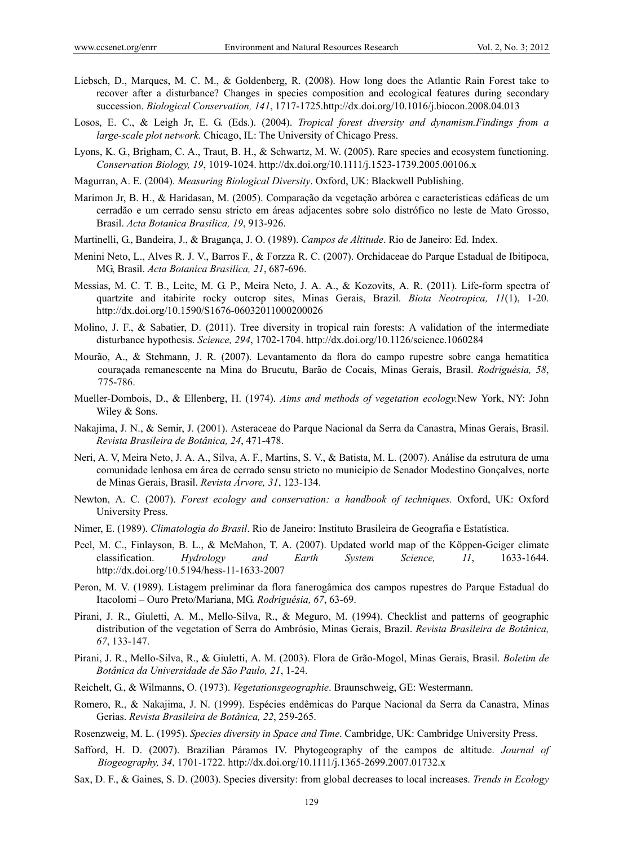- Liebsch, D., Marques, M. C. M., & Goldenberg, R. (2008). How long does the Atlantic Rain Forest take to recover after a disturbance? Changes in species composition and ecological features during secondary succession. *Biological Conservation, 141*, 1717-1725.http://dx.doi.org/10.1016/j.biocon.2008.04.013
- Losos, E. C., & Leigh Jr, E. G. (Eds.). (2004). *Tropical forest diversity and dynamism.Findings from a large-scale plot network.* Chicago, IL: The University of Chicago Press.
- Lyons, K. G., Brigham, C. A., Traut, B. H., & Schwartz, M. W. (2005). Rare species and ecosystem functioning. *Conservation Biology, 19*, 1019-1024. http://dx.doi.org/10.1111/j.1523-1739.2005.00106.x
- Magurran, A. E. (2004). *Measuring Biological Diversity*. Oxford, UK: Blackwell Publishing.
- Marimon Jr, B. H., & Haridasan, M. (2005). Comparação da vegetação arbórea e características edáficas de um cerradão e um cerrado sensu stricto em áreas adjacentes sobre solo distrófico no leste de Mato Grosso, Brasil. *Acta Botanica Brasilica, 19*, 913-926.
- Martinelli, G., Bandeira, J., & Bragança, J. O. (1989). *Campos de Altitude*. Rio de Janeiro: Ed. Index.
- Menini Neto, L., Alves R. J. V., Barros F., & Forzza R. C. (2007). Orchidaceae do Parque Estadual de Ibitipoca, MG, Brasil. *Acta Botanica Brasilica, 21*, 687-696.
- Messias, M. C. T. B., Leite, M. G. P., Meira Neto, J. A. A., & Kozovits, A. R. (2011). Life-form spectra of quartzite and itabirite rocky outcrop sites, Minas Gerais, Brazil. *Biota Neotropica, 11*(1), 1-20. http://dx.doi.org/10.1590/S1676-06032011000200026
- Molino, J. F., & Sabatier, D. (2011). Tree diversity in tropical rain forests: A validation of the intermediate disturbance hypothesis. *Science, 294*, 1702-1704. http://dx.doi.org/10.1126/science.1060284
- Mourão, A., & Stehmann, J. R. (2007). Levantamento da flora do campo rupestre sobre canga hematítica couraçada remanescente na Mina do Brucutu, Barão de Cocais, Minas Gerais, Brasil. *Rodriguésia, 58*, 775-786.
- Mueller-Dombois, D., & Ellenberg, H. (1974). *Aims and methods of vegetation ecology.*New York, NY: John Wiley & Sons.
- Nakajima, J. N., & Semir, J. (2001). Asteraceae do Parque Nacional da Serra da Canastra, Minas Gerais, Brasil. *Revista Brasileira de Botânica, 24*, 471-478.
- Neri, A. V, Meira Neto, J. A. A., Silva, A. F., Martins, S. V., & Batista, M. L. (2007). Análise da estrutura de uma comunidade lenhosa em área de cerrado sensu stricto no município de Senador Modestino Gonçalves, norte de Minas Gerais, Brasil. *Revista Árvore, 31*, 123-134.
- Newton, A. C. (2007). *Forest ecology and conservation: a handbook of techniques.* Oxford, UK: Oxford University Press.
- Nimer, E. (1989). *Climatologia do Brasil*. Rio de Janeiro: Instituto Brasileira de Geografia e Estatística.
- Peel, M. C., Finlayson, B. L., & McMahon, T. A. (2007). Updated world map of the Köppen-Geiger climate classification. *Hydrology and Earth System Science, 11*, 1633-1644. http://dx.doi.org/10.5194/hess-11-1633-2007
- Peron, M. V. (1989). Listagem preliminar da flora fanerogâmica dos campos rupestres do Parque Estadual do Itacolomi – Ouro Preto/Mariana, MG. *Rodriguésia, 67*, 63-69.
- Pirani, J. R., Giuletti, A. M., Mello-Silva, R., & Meguro, M. (1994). Checklist and patterns of geographic distribution of the vegetation of Serra do Ambrósio, Minas Gerais, Brazil. *Revista Brasileira de Botânica, 67*, 133-147.
- Pirani, J. R., Mello-Silva, R., & Giuletti, A. M. (2003). Flora de Grão-Mogol, Minas Gerais, Brasil. *Boletim de Botânica da Universidade de São Paulo, 21*, 1-24.
- Reichelt, G., & Wilmanns, O. (1973). *Vegetationsgeographie*. Braunschweig, GE: Westermann.
- Romero, R., & Nakajima, J. N. (1999). Espécies endêmicas do Parque Nacional da Serra da Canastra, Minas Gerias. *Revista Brasileira de Botânica, 22*, 259-265.
- Rosenzweig, M. L. (1995). *Species diversity in Space and Time*. Cambridge, UK: Cambridge University Press.
- Safford, H. D. (2007). Brazilian Páramos IV. Phytogeography of the campos de altitude. *Journal of Biogeography, 34*, 1701-1722. http://dx.doi.org/10.1111/j.1365-2699.2007.01732.x
- Sax, D. F., & Gaines, S. D. (2003). Species diversity: from global decreases to local increases. *Trends in Ecology*